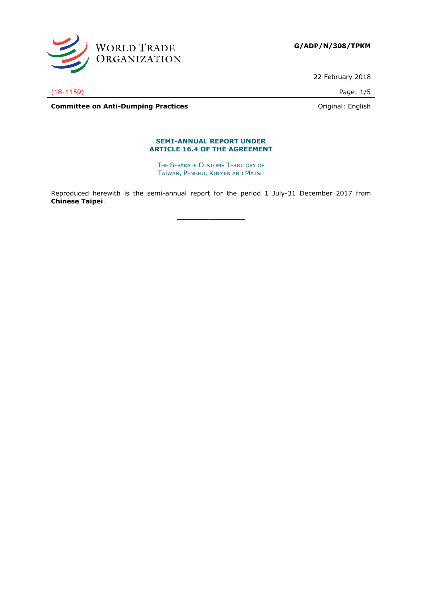

**G/ADP/N/308/TPKM**

22 February 2018

(18-1159) Page: 1/5

**Committee on Anti-Dumping Practices Committee on Anti-Dumping Practices Committee on Anti-Dumping Practices** 

#### **SEMI-ANNUAL REPORT UNDER ARTICLE 16.4 OF THE AGREEMENT**

THE SEPARATE CUSTOMS TERRITORY OF TAIWAN, PENGHU, KINMEN AND MATSU

Reproduced herewith is the semi-annual report for the period 1 July-31 December 2017 from **Chinese Taipei**.

**\_\_\_\_\_\_\_\_\_\_\_\_\_\_\_**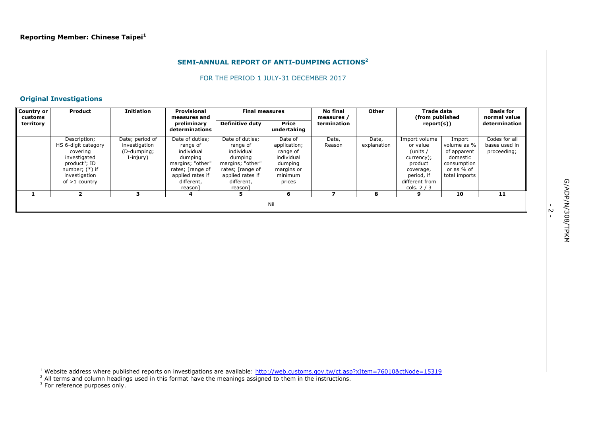#### **SEMI-ANNUAL REPORT OF ANTI-DUMPING ACTIONS<sup>2</sup>**

#### FOR THE PERIOD 1 JULY-31 DECEMBER 2017

## **Original Investigations**

| <b>Country or</b><br>customs | <b>Product</b>                                                                                                                                       | <b>Initiation</b>                                            | <b>Provisional</b><br>measures and                                                                                                        | <b>Final measures</b>                                                                                                                     |                                                                                                 | No final<br>measures / | Other                | Trade data<br>(from published                                                                                              |                                                                                                | <b>Basis for</b><br>normal value              |
|------------------------------|------------------------------------------------------------------------------------------------------------------------------------------------------|--------------------------------------------------------------|-------------------------------------------------------------------------------------------------------------------------------------------|-------------------------------------------------------------------------------------------------------------------------------------------|-------------------------------------------------------------------------------------------------|------------------------|----------------------|----------------------------------------------------------------------------------------------------------------------------|------------------------------------------------------------------------------------------------|-----------------------------------------------|
| territory                    |                                                                                                                                                      |                                                              | preliminary<br>determinations                                                                                                             | <b>Definitive duty</b>                                                                                                                    | <b>Price</b><br>undertaking                                                                     | termination            |                      | report(s))                                                                                                                 |                                                                                                | determination                                 |
|                              | Description;<br>HS 6-digit category<br>covering<br>investigated<br>product <sup>3</sup> ; ID<br>number; $(*)$ if<br>investigation<br>of $>1$ country | Date; period of<br>investigation<br>(D-dumping;<br>I-injury) | Date of duties;<br>range of<br>individual<br>dumping<br>margins; "other"<br>rates; [range of<br>applied rates if<br>different,<br>reason] | Date of duties;<br>range of<br>individual<br>dumping<br>margins; "other"<br>rates; [range of<br>applied rates if<br>different,<br>reason] | Date of<br>application;<br>range of<br>individual<br>dumping<br>margins or<br>minimum<br>prices | Date,<br>Reason        | Date,<br>explanation | Import volume<br>or value<br>(units /<br>currency);<br>product<br>coverage,<br>period, if<br>different from<br>cols. $2/3$ | Import<br>volume as %<br>of apparent<br>domestic<br>consumption<br>or as % of<br>total imports | Codes for all<br>bases used in<br>proceeding; |
|                              |                                                                                                                                                      |                                                              |                                                                                                                                           |                                                                                                                                           | 6                                                                                               |                        | я                    | ą                                                                                                                          | 10                                                                                             | 11                                            |
|                              | Nil                                                                                                                                                  |                                                              |                                                                                                                                           |                                                                                                                                           |                                                                                                 |                        |                      |                                                                                                                            |                                                                                                |                                               |

ł

ب<br>-

<sup>&</sup>lt;sup>1</sup> Website address where published reports on investigations are available: <http://web.customs.gov.tw/ct.asp?xItem=76010&ctNode=15319>

 $^2$  All terms and column headings used in this format have the meanings assigned to them in the instructions.<br><sup>3</sup> For reference purposes only.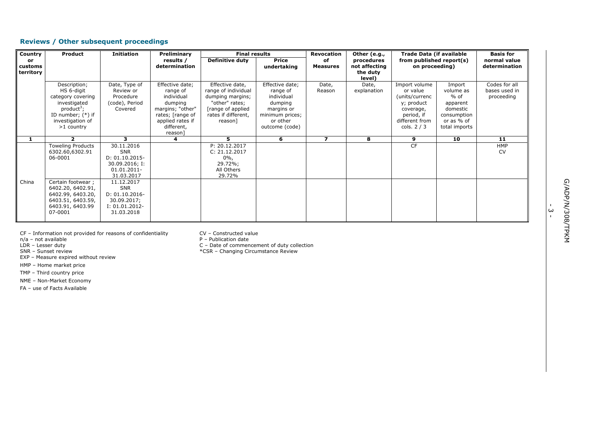## **Reviews / Other subsequent proceedings**

| Country                    | Product                                                                                                                                     | <b>Initiation</b>                                                                              | Preliminary                                                                                                                               | <b>Final results</b>                                                                                                                 |                                                                                                                     | <b>Revocation</b>       | Other (e.g.,                                      | <b>Trade Data (if available</b><br>from published report(s)<br>on proceeding)                                         |                                                                                                     | <b>Basis for</b>                             |
|----------------------------|---------------------------------------------------------------------------------------------------------------------------------------------|------------------------------------------------------------------------------------------------|-------------------------------------------------------------------------------------------------------------------------------------------|--------------------------------------------------------------------------------------------------------------------------------------|---------------------------------------------------------------------------------------------------------------------|-------------------------|---------------------------------------------------|-----------------------------------------------------------------------------------------------------------------------|-----------------------------------------------------------------------------------------------------|----------------------------------------------|
| or<br>customs<br>territory |                                                                                                                                             |                                                                                                | results /<br>determination                                                                                                                | <b>Definitive duty</b>                                                                                                               | <b>Price</b><br>undertaking                                                                                         | of<br><b>Measures</b>   | procedures<br>not affecting<br>the duty<br>level) |                                                                                                                       |                                                                                                     | normal value<br>determination                |
|                            | Description;<br>HS 6-digit<br>category covering<br>investigated<br>$product^3$ ;<br>ID number; $(*)$ if<br>investigation of<br>$>1$ country | Date, Type of<br>Review or<br>Procedure<br>(code), Period<br>Covered                           | Effective date;<br>range of<br>individual<br>dumping<br>margins; "other"<br>rates; [range of<br>applied rates if<br>different,<br>reason] | Effective date,<br>range of individual<br>dumping margins;<br>"other" rates;<br>[range of applied]<br>rates if different,<br>reason] | Effective date;<br>range of<br>individual<br>dumping<br>margins or<br>minimum prices;<br>or other<br>outcome (code) | Date,<br>Reason         | Date,<br>explanation                              | Import volume<br>or value<br>(units/currenc<br>y; product<br>coverage,<br>period, if<br>different from<br>cols. $2/3$ | Import<br>volume as<br>$%$ of<br>apparent<br>domestic<br>consumption<br>or as % of<br>total imports | Codes for all<br>bases used in<br>proceeding |
|                            | $\mathbf{2}$                                                                                                                                | з.                                                                                             | 4                                                                                                                                         | 5.                                                                                                                                   | 6                                                                                                                   | $\overline{\mathbf{z}}$ | 8                                                 | 9                                                                                                                     | 10                                                                                                  | 11                                           |
|                            | <b>Toweling Products</b><br>6302.60,6302.91<br>06-0001                                                                                      | 30.11.2016<br><b>SNR</b><br>$D: 01.10.2015 -$<br>30.09.2016; I:<br>01.01.2011-<br>31.03.2017   |                                                                                                                                           | P: 20.12.2017<br>C: 21.12.2017<br>$0\%$ ,<br>29.72%;<br>All Others<br>29.72%                                                         |                                                                                                                     |                         |                                                   | <b>CF</b>                                                                                                             |                                                                                                     | HMP<br><b>CV</b>                             |
| China                      | Certain footwear;<br>6402.20, 6402.91,<br>6402.99, 6403.20,<br>6403.51, 6403.59,<br>6403.91, 6403.99<br>07-0001                             | 11.12.2017<br><b>SNR</b><br>$D: 01.10.2016 -$<br>30.09.2017;<br>$I: 01.01.2012-$<br>31.03.2018 |                                                                                                                                           |                                                                                                                                      |                                                                                                                     |                         |                                                   |                                                                                                                       |                                                                                                     |                                              |

CF – Information not provided for reasons of confidentiality  $CV -$  Constructed value  $n/a$  – not available

EXP – Measure expired without review

HMP – Home market price

TMP – Third country price

NME – Non-Market Economy

FA – use of Facts Available

n/a – not available in the example of the publication date that the P – Publication date is not available that the P – Publication date is not a part of the P – Publication date in the P – Publication date is not a part of LDR – Lesser duty<br>
SNR – Sunset review<br>
SNR – Sunset review<br>
SRR – Changing Circumstance Review

\*CSR – Changing Circumstance Review

.<br>ب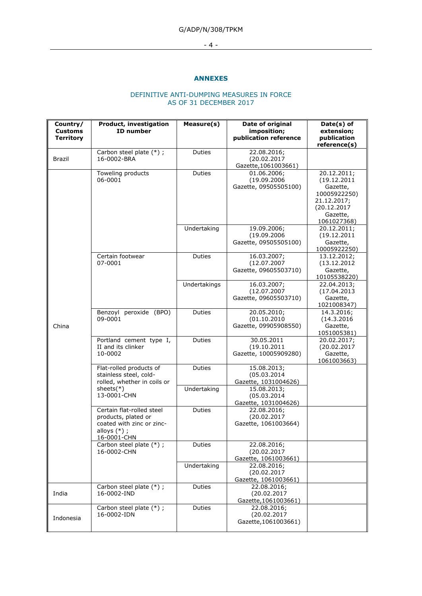## G/ADP/N/308/TPKM

## - 4 -

#### **ANNEXES**

## DEFINITIVE ANTI-DUMPING MEASURES IN FORCE AS OF 31 DECEMBER 2017

| Country/<br><b>Customs</b><br><b>Territory</b> | Product, investigation<br><b>ID</b> number                                                                     | Measure(s)    | Date of original<br>imposition;<br>publication reference | Date(s) of<br>extension;<br>publication<br>reference(s)                                                         |
|------------------------------------------------|----------------------------------------------------------------------------------------------------------------|---------------|----------------------------------------------------------|-----------------------------------------------------------------------------------------------------------------|
| Brazil                                         | Carbon steel plate (*);<br>16-0002-BRA                                                                         | Duties        | 22.08.2016;<br>(20.02.2017<br>Gazette, 1061003661)       |                                                                                                                 |
|                                                | Toweling products<br>06-0001                                                                                   | Duties        | 01.06.2006;<br>(19.09.2006<br>Gazette, 09505505100)      | 20.12.2011;<br>(19.12.2011<br>Gazette,<br>10005922250)<br>21.12.2017;<br>(20.12.2017<br>Gazette,<br>1061027368) |
|                                                |                                                                                                                | Undertaking   | 19.09.2006;<br>(19.09.2006<br>Gazette, 09505505100)      | 20.12.2011;<br>(19.12.2011)<br>Gazette,<br>10005922250)                                                         |
|                                                | Certain footwear<br>07-0001                                                                                    | Duties        | 16.03.2007;<br>(12.07.2007<br>Gazette, 09605503710)      | 13.12.2012;<br>(13.12.2012)<br>Gazette,<br>10105538220)                                                         |
|                                                |                                                                                                                | Undertakings  | 16.03.2007;<br>(12.07.2007<br>Gazette, 09605503710)      | 22.04.2013;<br>(17.04.2013)<br>Gazette,<br>1021008347)                                                          |
| China                                          | Benzoyl peroxide (BPO)<br>09-0001                                                                              | Duties        | 20.05.2010;<br>(01.10.2010<br>Gazette, 09905908550)      | 14.3.2016;<br>(14.3.2016<br>Gazette,<br><u>1051005381)</u>                                                      |
|                                                | Portland cement type I,<br>II and its clinker<br>10-0002                                                       | <b>Duties</b> | 30.05.2011<br>(19.10.2011<br>Gazette, 10005909280)       | 20.02.2017;<br>(20.02.2017<br>Gazette,<br>1061003663)                                                           |
|                                                | Flat-rolled products of<br>stainless steel, cold-<br>rolled, whether in coils or                               | Duties        | 15.08.2013;<br>(05.03.2014)<br>Gazette, 1031004626)      |                                                                                                                 |
|                                                | sheets $(*)$<br>13-0001-CHN                                                                                    | Undertaking   | 15.08.2013;<br>(05.03.2014)<br>Gazette, 1031004626)      |                                                                                                                 |
|                                                | Certain flat-rolled steel<br>products, plated or<br>coated with zinc or zinc-<br>alloys $(*)$ ;<br>16-0001-CHN | Duties        | 22.08.2016;<br>(20.02.2017<br>Gazette, 1061003664)       |                                                                                                                 |
|                                                | Carbon steel plate (*);<br>16-0002-CHN                                                                         | Duties        | 22.08.2016;<br>(20.02.2017<br>Gazette, 1061003661)       |                                                                                                                 |
|                                                |                                                                                                                | Undertaking   | 22.08.2016;<br>(20.02.2017<br>Gazette, 1061003661)       |                                                                                                                 |
| India                                          | Carbon steel plate (*);<br>16-0002-IND                                                                         | <b>Duties</b> | 22.08.2016;<br>(20.02.2017<br>Gazette, 1061003661)       |                                                                                                                 |
| Indonesia                                      | Carbon steel plate (*);<br>16-0002-IDN                                                                         | Duties        | 22.08.2016;<br>(20.02.2017<br>Gazette, 1061003661)       |                                                                                                                 |